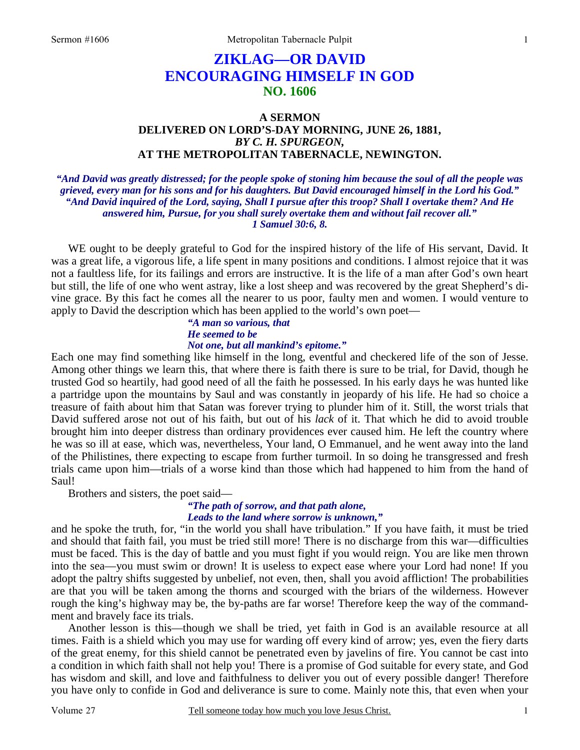# **ZIKLAG—OR DAVID ENCOURAGING HIMSELF IN GOD NO. 1606**

### **A SERMON DELIVERED ON LORD'S-DAY MORNING, JUNE 26, 1881,**  *BY C. H. SPURGEON,*  **AT THE METROPOLITAN TABERNACLE, NEWINGTON.**

*"And David was greatly distressed; for the people spoke of stoning him because the soul of all the people was grieved, every man for his sons and for his daughters. But David encouraged himself in the Lord his God." "And David inquired of the Lord, saying, Shall I pursue after this troop? Shall I overtake them? And He answered him, Pursue, for you shall surely overtake them and without fail recover all." 1 Samuel 30:6, 8.* 

 WE ought to be deeply grateful to God for the inspired history of the life of His servant, David. It was a great life, a vigorous life, a life spent in many positions and conditions. I almost rejoice that it was not a faultless life, for its failings and errors are instructive. It is the life of a man after God's own heart but still, the life of one who went astray, like a lost sheep and was recovered by the great Shepherd's divine grace. By this fact he comes all the nearer to us poor, faulty men and women. I would venture to apply to David the description which has been applied to the world's own poet—

*"A man so various, that He seemed to be* 

### *Not one, but all mankind's epitome."*

Each one may find something like himself in the long, eventful and checkered life of the son of Jesse. Among other things we learn this, that where there is faith there is sure to be trial, for David, though he trusted God so heartily, had good need of all the faith he possessed. In his early days he was hunted like a partridge upon the mountains by Saul and was constantly in jeopardy of his life. He had so choice a treasure of faith about him that Satan was forever trying to plunder him of it. Still, the worst trials that David suffered arose not out of his faith, but out of his *lack* of it. That which he did to avoid trouble brought him into deeper distress than ordinary providences ever caused him. He left the country where he was so ill at ease, which was, nevertheless, Your land, O Emmanuel, and he went away into the land of the Philistines, there expecting to escape from further turmoil. In so doing he transgressed and fresh trials came upon him—trials of a worse kind than those which had happened to him from the hand of Saul!

Brothers and sisters, the poet said—

#### *"The path of sorrow, and that path alone, Leads to the land where sorrow is unknown,"*

and he spoke the truth, for, "in the world you shall have tribulation." If you have faith, it must be tried and should that faith fail, you must be tried still more! There is no discharge from this war—difficulties must be faced. This is the day of battle and you must fight if you would reign. You are like men thrown into the sea—you must swim or drown! It is useless to expect ease where your Lord had none! If you adopt the paltry shifts suggested by unbelief, not even, then, shall you avoid affliction! The probabilities are that you will be taken among the thorns and scourged with the briars of the wilderness. However rough the king's highway may be, the by-paths are far worse! Therefore keep the way of the commandment and bravely face its trials.

 Another lesson is this—though we shall be tried, yet faith in God is an available resource at all times. Faith is a shield which you may use for warding off every kind of arrow; yes, even the fiery darts of the great enemy, for this shield cannot be penetrated even by javelins of fire. You cannot be cast into a condition in which faith shall not help you! There is a promise of God suitable for every state, and God has wisdom and skill, and love and faithfulness to deliver you out of every possible danger! Therefore you have only to confide in God and deliverance is sure to come. Mainly note this, that even when your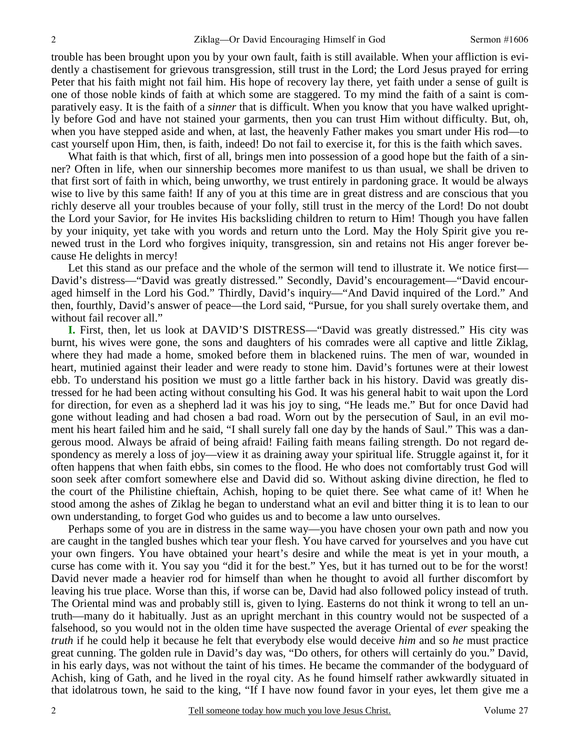trouble has been brought upon you by your own fault, faith is still available. When your affliction is evidently a chastisement for grievous transgression, still trust in the Lord; the Lord Jesus prayed for erring Peter that his faith might not fail him. His hope of recovery lay there, yet faith under a sense of guilt is one of those noble kinds of faith at which some are staggered. To my mind the faith of a saint is comparatively easy. It is the faith of a *sinner* that is difficult. When you know that you have walked uprightly before God and have not stained your garments, then you can trust Him without difficulty. But, oh, when you have stepped aside and when, at last, the heavenly Father makes you smart under His rod—to cast yourself upon Him, then, is faith, indeed! Do not fail to exercise it, for this is the faith which saves.

What faith is that which, first of all, brings men into possession of a good hope but the faith of a sinner? Often in life, when our sinnership becomes more manifest to us than usual, we shall be driven to that first sort of faith in which, being unworthy, we trust entirely in pardoning grace. It would be always wise to live by this same faith! If any of you at this time are in great distress and are conscious that you richly deserve all your troubles because of your folly, still trust in the mercy of the Lord! Do not doubt the Lord your Savior, for He invites His backsliding children to return to Him! Though you have fallen by your iniquity, yet take with you words and return unto the Lord. May the Holy Spirit give you renewed trust in the Lord who forgives iniquity, transgression, sin and retains not His anger forever because He delights in mercy!

Let this stand as our preface and the whole of the sermon will tend to illustrate it. We notice first— David's distress—"David was greatly distressed." Secondly, David's encouragement—"David encouraged himself in the Lord his God." Thirdly, David's inquiry—"And David inquired of the Lord." And then, fourthly, David's answer of peace—the Lord said, "Pursue, for you shall surely overtake them, and without fail recover all."

**I.** First, then, let us look at DAVID'S DISTRESS—"David was greatly distressed." His city was burnt, his wives were gone, the sons and daughters of his comrades were all captive and little Ziklag, where they had made a home, smoked before them in blackened ruins. The men of war, wounded in heart, mutinied against their leader and were ready to stone him. David's fortunes were at their lowest ebb. To understand his position we must go a little farther back in his history. David was greatly distressed for he had been acting without consulting his God. It was his general habit to wait upon the Lord for direction, for even as a shepherd lad it was his joy to sing, "He leads me." But for once David had gone without leading and had chosen a bad road. Worn out by the persecution of Saul, in an evil moment his heart failed him and he said, "I shall surely fall one day by the hands of Saul." This was a dangerous mood. Always be afraid of being afraid! Failing faith means failing strength. Do not regard despondency as merely a loss of joy—view it as draining away your spiritual life. Struggle against it, for it often happens that when faith ebbs, sin comes to the flood. He who does not comfortably trust God will soon seek after comfort somewhere else and David did so. Without asking divine direction, he fled to the court of the Philistine chieftain, Achish, hoping to be quiet there. See what came of it! When he stood among the ashes of Ziklag he began to understand what an evil and bitter thing it is to lean to our own understanding, to forget God who guides us and to become a law unto ourselves.

 Perhaps some of you are in distress in the same way—you have chosen your own path and now you are caught in the tangled bushes which tear your flesh. You have carved for yourselves and you have cut your own fingers. You have obtained your heart's desire and while the meat is yet in your mouth, a curse has come with it. You say you "did it for the best." Yes, but it has turned out to be for the worst! David never made a heavier rod for himself than when he thought to avoid all further discomfort by leaving his true place. Worse than this, if worse can be, David had also followed policy instead of truth. The Oriental mind was and probably still is, given to lying. Easterns do not think it wrong to tell an untruth—many do it habitually. Just as an upright merchant in this country would not be suspected of a falsehood, so you would not in the olden time have suspected the average Oriental of *ever* speaking the *truth* if he could help it because he felt that everybody else would deceive *him* and so *he* must practice great cunning. The golden rule in David's day was, "Do others, for others will certainly do you." David, in his early days, was not without the taint of his times. He became the commander of the bodyguard of Achish, king of Gath, and he lived in the royal city. As he found himself rather awkwardly situated in that idolatrous town, he said to the king, "If I have now found favor in your eyes, let them give me a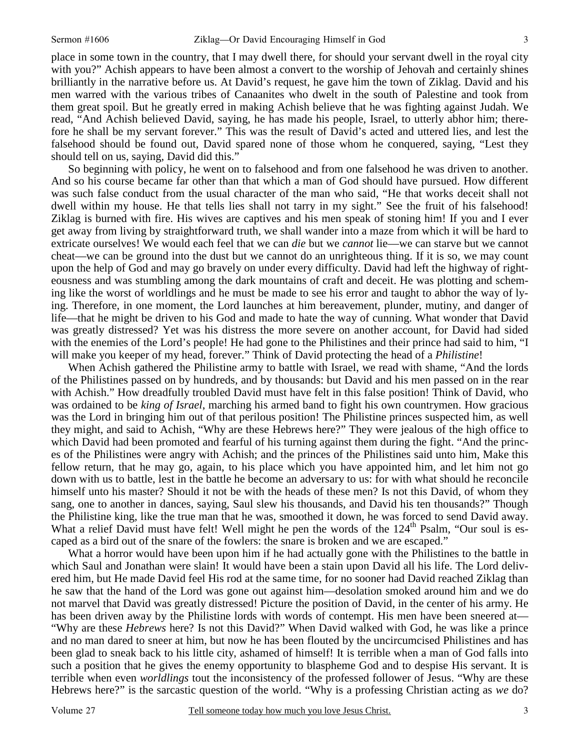place in some town in the country, that I may dwell there, for should your servant dwell in the royal city with you?" Achish appears to have been almost a convert to the worship of Jehovah and certainly shines brilliantly in the narrative before us. At David's request, he gave him the town of Ziklag. David and his men warred with the various tribes of Canaanites who dwelt in the south of Palestine and took from them great spoil. But he greatly erred in making Achish believe that he was fighting against Judah. We read, "And Achish believed David, saying, he has made his people, Israel, to utterly abhor him; therefore he shall be my servant forever." This was the result of David's acted and uttered lies, and lest the falsehood should be found out, David spared none of those whom he conquered, saying, "Lest they should tell on us, saying, David did this."

 So beginning with policy, he went on to falsehood and from one falsehood he was driven to another. And so his course became far other than that which a man of God should have pursued. How different was such false conduct from the usual character of the man who said, "He that works deceit shall not dwell within my house. He that tells lies shall not tarry in my sight." See the fruit of his falsehood! Ziklag is burned with fire. His wives are captives and his men speak of stoning him! If you and I ever get away from living by straightforward truth, we shall wander into a maze from which it will be hard to extricate ourselves! We would each feel that we can *die* but we *cannot* lie—we can starve but we cannot cheat—we can be ground into the dust but we cannot do an unrighteous thing. If it is so, we may count upon the help of God and may go bravely on under every difficulty. David had left the highway of righteousness and was stumbling among the dark mountains of craft and deceit. He was plotting and scheming like the worst of worldlings and he must be made to see his error and taught to abhor the way of lying. Therefore, in one moment, the Lord launches at him bereavement, plunder, mutiny, and danger of life—that he might be driven to his God and made to hate the way of cunning. What wonder that David was greatly distressed? Yet was his distress the more severe on another account, for David had sided with the enemies of the Lord's people! He had gone to the Philistines and their prince had said to him, "I will make you keeper of my head, forever." Think of David protecting the head of a *Philistine*!

 When Achish gathered the Philistine army to battle with Israel, we read with shame, "And the lords of the Philistines passed on by hundreds, and by thousands: but David and his men passed on in the rear with Achish." How dreadfully troubled David must have felt in this false position! Think of David, who was ordained to be *king of Israel*, marching his armed band to fight his own countrymen. How gracious was the Lord in bringing him out of that perilous position! The Philistine princes suspected him, as well they might, and said to Achish, "Why are these Hebrews here?" They were jealous of the high office to which David had been promoted and fearful of his turning against them during the fight. "And the princes of the Philistines were angry with Achish; and the princes of the Philistines said unto him, Make this fellow return, that he may go, again, to his place which you have appointed him, and let him not go down with us to battle, lest in the battle he become an adversary to us: for with what should he reconcile himself unto his master? Should it not be with the heads of these men? Is not this David, of whom they sang, one to another in dances, saying, Saul slew his thousands, and David his ten thousands?" Though the Philistine king, like the true man that he was, smoothed it down, he was forced to send David away. What a relief David must have felt! Well might he pen the words of the 124<sup>th</sup> Psalm, "Our soul is escaped as a bird out of the snare of the fowlers: the snare is broken and we are escaped."

What a horror would have been upon him if he had actually gone with the Philistines to the battle in which Saul and Jonathan were slain! It would have been a stain upon David all his life. The Lord delivered him, but He made David feel His rod at the same time, for no sooner had David reached Ziklag than he saw that the hand of the Lord was gone out against him—desolation smoked around him and we do not marvel that David was greatly distressed! Picture the position of David, in the center of his army. He has been driven away by the Philistine lords with words of contempt. His men have been sneered at— "Why are these *Hebrews* here? Is not this David?" When David walked with God, he was like a prince and no man dared to sneer at him, but now he has been flouted by the uncircumcised Philistines and has been glad to sneak back to his little city, ashamed of himself! It is terrible when a man of God falls into such a position that he gives the enemy opportunity to blaspheme God and to despise His servant. It is terrible when even *worldlings* tout the inconsistency of the professed follower of Jesus. "Why are these Hebrews here?" is the sarcastic question of the world. "Why is a professing Christian acting as *we* do?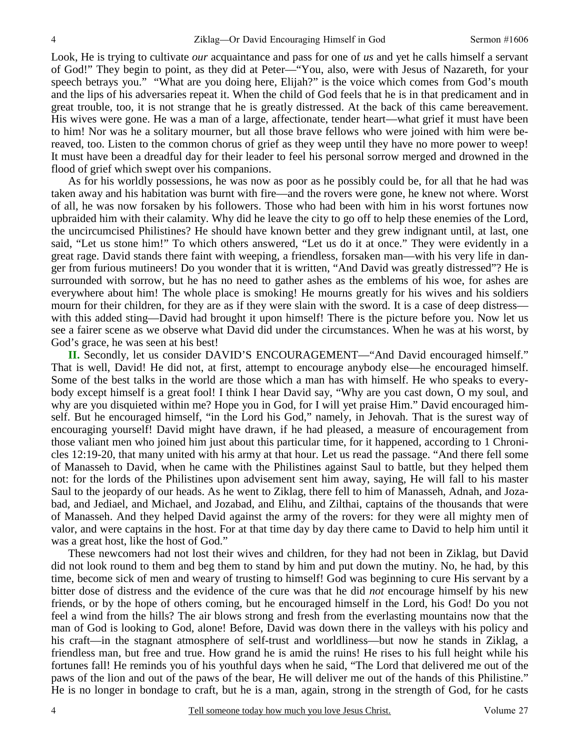Look, He is trying to cultivate *our* acquaintance and pass for one of *us* and yet he calls himself a servant of God!" They begin to point, as they did at Peter—"You, also, were with Jesus of Nazareth, for your speech betrays you." "What are you doing here, Elijah?" is the voice which comes from God's mouth and the lips of his adversaries repeat it. When the child of God feels that he is in that predicament and in great trouble, too, it is not strange that he is greatly distressed. At the back of this came bereavement. His wives were gone. He was a man of a large, affectionate, tender heart—what grief it must have been to him! Nor was he a solitary mourner, but all those brave fellows who were joined with him were bereaved, too. Listen to the common chorus of grief as they weep until they have no more power to weep! It must have been a dreadful day for their leader to feel his personal sorrow merged and drowned in the flood of grief which swept over his companions.

 As for his worldly possessions, he was now as poor as he possibly could be, for all that he had was taken away and his habitation was burnt with fire—and the rovers were gone, he knew not where. Worst of all, he was now forsaken by his followers. Those who had been with him in his worst fortunes now upbraided him with their calamity. Why did he leave the city to go off to help these enemies of the Lord, the uncircumcised Philistines? He should have known better and they grew indignant until, at last, one said, "Let us stone him!" To which others answered, "Let us do it at once." They were evidently in a great rage. David stands there faint with weeping, a friendless, forsaken man—with his very life in danger from furious mutineers! Do you wonder that it is written, "And David was greatly distressed"? He is surrounded with sorrow, but he has no need to gather ashes as the emblems of his woe, for ashes are everywhere about him! The whole place is smoking! He mourns greatly for his wives and his soldiers mourn for their children, for they are as if they were slain with the sword. It is a case of deep distress with this added sting—David had brought it upon himself! There is the picture before you. Now let us see a fairer scene as we observe what David did under the circumstances. When he was at his worst, by God's grace, he was seen at his best!

**II.** Secondly, let us consider DAVID'S ENCOURAGEMENT—"And David encouraged himself." That is well, David! He did not, at first, attempt to encourage anybody else—he encouraged himself. Some of the best talks in the world are those which a man has with himself. He who speaks to everybody except himself is a great fool! I think I hear David say, "Why are you cast down, O my soul, and why are you disquieted within me? Hope you in God, for I will yet praise Him." David encouraged himself. But he encouraged himself, "in the Lord his God," namely, in Jehovah. That is the surest way of encouraging yourself! David might have drawn, if he had pleased, a measure of encouragement from those valiant men who joined him just about this particular time, for it happened, according to 1 Chronicles 12:19-20, that many united with his army at that hour. Let us read the passage. "And there fell some of Manasseh to David, when he came with the Philistines against Saul to battle, but they helped them not: for the lords of the Philistines upon advisement sent him away, saying, He will fall to his master Saul to the jeopardy of our heads. As he went to Ziklag, there fell to him of Manasseh, Adnah, and Jozabad, and Jediael, and Michael, and Jozabad, and Elihu, and Zilthai, captains of the thousands that were of Manasseh. And they helped David against the army of the rovers: for they were all mighty men of valor, and were captains in the host. For at that time day by day there came to David to help him until it was a great host, like the host of God."

 These newcomers had not lost their wives and children, for they had not been in Ziklag, but David did not look round to them and beg them to stand by him and put down the mutiny. No, he had, by this time, become sick of men and weary of trusting to himself! God was beginning to cure His servant by a bitter dose of distress and the evidence of the cure was that he did *not* encourage himself by his new friends, or by the hope of others coming, but he encouraged himself in the Lord, his God! Do you not feel a wind from the hills? The air blows strong and fresh from the everlasting mountains now that the man of God is looking to God, alone! Before, David was down there in the valleys with his policy and his craft—in the stagnant atmosphere of self-trust and worldliness—but now he stands in Ziklag, a friendless man, but free and true. How grand he is amid the ruins! He rises to his full height while his fortunes fall! He reminds you of his youthful days when he said, "The Lord that delivered me out of the paws of the lion and out of the paws of the bear, He will deliver me out of the hands of this Philistine." He is no longer in bondage to craft, but he is a man, again, strong in the strength of God, for he casts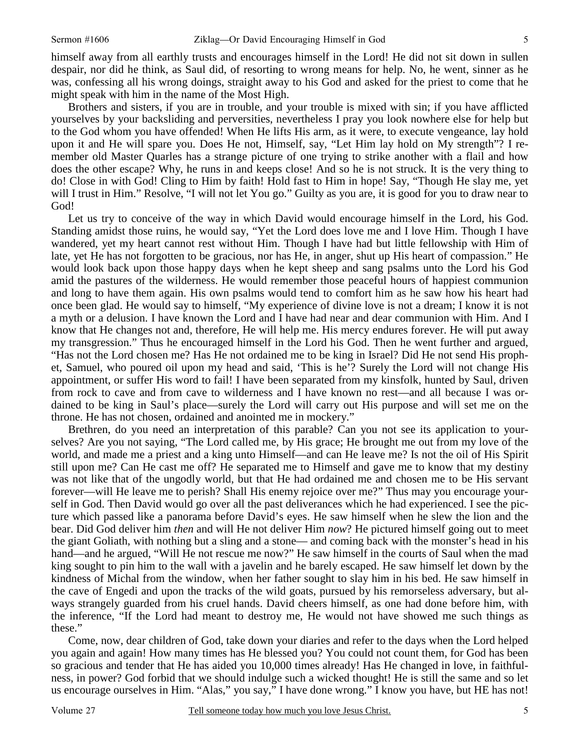himself away from all earthly trusts and encourages himself in the Lord! He did not sit down in sullen despair, nor did he think, as Saul did, of resorting to wrong means for help. No, he went, sinner as he was, confessing all his wrong doings, straight away to his God and asked for the priest to come that he might speak with him in the name of the Most High.

 Brothers and sisters, if you are in trouble, and your trouble is mixed with sin; if you have afflicted yourselves by your backsliding and perversities, nevertheless I pray you look nowhere else for help but to the God whom you have offended! When He lifts His arm, as it were, to execute vengeance, lay hold upon it and He will spare you. Does He not, Himself, say, "Let Him lay hold on My strength"? I remember old Master Quarles has a strange picture of one trying to strike another with a flail and how does the other escape? Why, he runs in and keeps close! And so he is not struck. It is the very thing to do! Close in with God! Cling to Him by faith! Hold fast to Him in hope! Say, "Though He slay me, yet will I trust in Him." Resolve, "I will not let You go." Guilty as you are, it is good for you to draw near to God!

 Let us try to conceive of the way in which David would encourage himself in the Lord, his God. Standing amidst those ruins, he would say, "Yet the Lord does love me and I love Him. Though I have wandered, yet my heart cannot rest without Him. Though I have had but little fellowship with Him of late, yet He has not forgotten to be gracious, nor has He, in anger, shut up His heart of compassion." He would look back upon those happy days when he kept sheep and sang psalms unto the Lord his God amid the pastures of the wilderness. He would remember those peaceful hours of happiest communion and long to have them again. His own psalms would tend to comfort him as he saw how his heart had once been glad. He would say to himself, "My experience of divine love is not a dream; I know it is not a myth or a delusion. I have known the Lord and I have had near and dear communion with Him. And I know that He changes not and, therefore, He will help me. His mercy endures forever. He will put away my transgression." Thus he encouraged himself in the Lord his God. Then he went further and argued, "Has not the Lord chosen me? Has He not ordained me to be king in Israel? Did He not send His prophet, Samuel, who poured oil upon my head and said, 'This is he'? Surely the Lord will not change His appointment, or suffer His word to fail! I have been separated from my kinsfolk, hunted by Saul, driven from rock to cave and from cave to wilderness and I have known no rest—and all because I was ordained to be king in Saul's place—surely the Lord will carry out His purpose and will set me on the throne. He has not chosen, ordained and anointed me in mockery."

 Brethren, do you need an interpretation of this parable? Can you not see its application to yourselves? Are you not saying, "The Lord called me, by His grace; He brought me out from my love of the world, and made me a priest and a king unto Himself—and can He leave me? Is not the oil of His Spirit still upon me? Can He cast me off? He separated me to Himself and gave me to know that my destiny was not like that of the ungodly world, but that He had ordained me and chosen me to be His servant forever—will He leave me to perish? Shall His enemy rejoice over me?" Thus may you encourage yourself in God. Then David would go over all the past deliverances which he had experienced. I see the picture which passed like a panorama before David's eyes. He saw himself when he slew the lion and the bear. Did God deliver him *then* and will He not deliver Him *now*? He pictured himself going out to meet the giant Goliath, with nothing but a sling and a stone— and coming back with the monster's head in his hand—and he argued, "Will He not rescue me now?" He saw himself in the courts of Saul when the mad king sought to pin him to the wall with a javelin and he barely escaped. He saw himself let down by the kindness of Michal from the window, when her father sought to slay him in his bed. He saw himself in the cave of Engedi and upon the tracks of the wild goats, pursued by his remorseless adversary, but always strangely guarded from his cruel hands. David cheers himself, as one had done before him, with the inference, "If the Lord had meant to destroy me, He would not have showed me such things as these."

 Come, now, dear children of God, take down your diaries and refer to the days when the Lord helped you again and again! How many times has He blessed you? You could not count them, for God has been so gracious and tender that He has aided you 10,000 times already! Has He changed in love, in faithfulness, in power? God forbid that we should indulge such a wicked thought! He is still the same and so let us encourage ourselves in Him. "Alas," you say," I have done wrong." I know you have, but HE has not!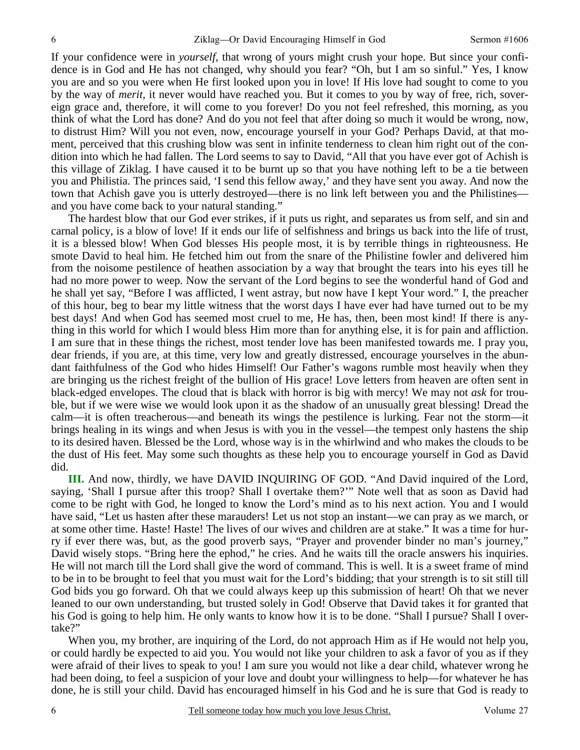If your confidence were in *yourself*, that wrong of yours might crush your hope. But since your confidence is in God and He has not changed, why should you fear? "Oh, but I am so sinful." Yes, I know you are and so you were when He first looked upon you in love! If His love had sought to come to you by the way of *merit,* it never would have reached you. But it comes to you by way of free, rich, sovereign grace and, therefore, it will come to you forever! Do you not feel refreshed, this morning, as you think of what the Lord has done? And do you not feel that after doing so much it would be wrong, now, to distrust Him? Will you not even, now, encourage yourself in your God? Perhaps David, at that moment, perceived that this crushing blow was sent in infinite tenderness to clean him right out of the condition into which he had fallen. The Lord seems to say to David, "All that you have ever got of Achish is this village of Ziklag. I have caused it to be burnt up so that you have nothing left to be a tie between you and Philistia. The princes said, 'I send this fellow away,' and they have sent you away. And now the town that Achish gave you is utterly destroyed—there is no link left between you and the Philistines and you have come back to your natural standing."

 The hardest blow that our God ever strikes, if it puts us right, and separates us from self, and sin and carnal policy, is a blow of love! If it ends our life of selfishness and brings us back into the life of trust, it is a blessed blow! When God blesses His people most, it is by terrible things in righteousness. He smote David to heal him. He fetched him out from the snare of the Philistine fowler and delivered him from the noisome pestilence of heathen association by a way that brought the tears into his eyes till he had no more power to weep. Now the servant of the Lord begins to see the wonderful hand of God and he shall yet say, "Before I was afflicted, I went astray, but now have I kept Your word." I, the preacher of this hour, beg to bear my little witness that the worst days I have ever had have turned out to be my best days! And when God has seemed most cruel to me, He has, then, been most kind! If there is anything in this world for which I would bless Him more than for anything else, it is for pain and affliction. I am sure that in these things the richest, most tender love has been manifested towards me. I pray you, dear friends, if you are, at this time, very low and greatly distressed, encourage yourselves in the abundant faithfulness of the God who hides Himself! Our Father's wagons rumble most heavily when they are bringing us the richest freight of the bullion of His grace! Love letters from heaven are often sent in black-edged envelopes. The cloud that is black with horror is big with mercy! We may not *ask* for trouble, but if we were wise we would look upon it as the shadow of an unusually great blessing! Dread the calm—it is often treacherous—and beneath its wings the pestilence is lurking. Fear not the storm—it brings healing in its wings and when Jesus is with you in the vessel—the tempest only hastens the ship to its desired haven. Blessed be the Lord, whose way is in the whirlwind and who makes the clouds to be the dust of His feet. May some such thoughts as these help you to encourage yourself in God as David did.

**III.** And now, thirdly, we have DAVID INQUIRING OF GOD. "And David inquired of the Lord, saying, 'Shall I pursue after this troop? Shall I overtake them?'" Note well that as soon as David had come to be right with God, he longed to know the Lord's mind as to his next action. You and I would have said, "Let us hasten after these marauders! Let us not stop an instant—we can pray as we march, or at some other time. Haste! Haste! The lives of our wives and children are at stake." It was a time for hurry if ever there was, but, as the good proverb says, "Prayer and provender binder no man's journey," David wisely stops. "Bring here the ephod," he cries. And he waits till the oracle answers his inquiries. He will not march till the Lord shall give the word of command. This is well. It is a sweet frame of mind to be in to be brought to feel that you must wait for the Lord's bidding; that your strength is to sit still till God bids you go forward. Oh that we could always keep up this submission of heart! Oh that we never leaned to our own understanding, but trusted solely in God! Observe that David takes it for granted that his God is going to help him. He only wants to know how it is to be done. "Shall I pursue? Shall I overtake?"

 When you, my brother, are inquiring of the Lord, do not approach Him as if He would not help you, or could hardly be expected to aid you. You would not like your children to ask a favor of you as if they were afraid of their lives to speak to you! I am sure you would not like a dear child, whatever wrong he had been doing, to feel a suspicion of your love and doubt your willingness to help—for whatever he has done, he is still your child. David has encouraged himself in his God and he is sure that God is ready to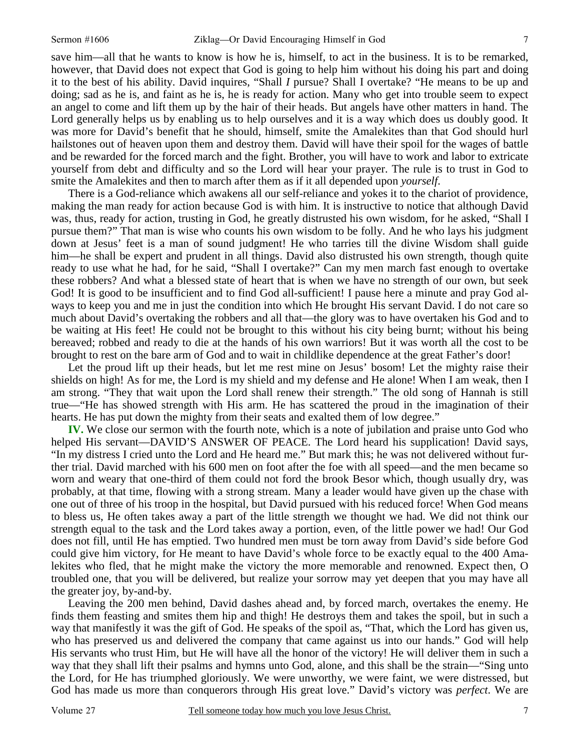save him—all that he wants to know is how he is, himself, to act in the business. It is to be remarked, however, that David does not expect that God is going to help him without his doing his part and doing it to the best of his ability. David inquires, "Shall *I* pursue? Shall I overtake? "He means to be up and doing; sad as he is, and faint as he is, he is ready for action. Many who get into trouble seem to expect an angel to come and lift them up by the hair of their heads. But angels have other matters in hand. The Lord generally helps us by enabling us to help ourselves and it is a way which does us doubly good. It was more for David's benefit that he should, himself, smite the Amalekites than that God should hurl hailstones out of heaven upon them and destroy them. David will have their spoil for the wages of battle and be rewarded for the forced march and the fight. Brother, you will have to work and labor to extricate yourself from debt and difficulty and so the Lord will hear your prayer. The rule is to trust in God to smite the Amalekites and then to march after them as if it all depended upon *yourself*.

 There is a God-reliance which awakens all our self-reliance and yokes it to the chariot of providence, making the man ready for action because God is with him. It is instructive to notice that although David was, thus, ready for action, trusting in God, he greatly distrusted his own wisdom, for he asked, "Shall I pursue them?" That man is wise who counts his own wisdom to be folly. And he who lays his judgment down at Jesus' feet is a man of sound judgment! He who tarries till the divine Wisdom shall guide him—he shall be expert and prudent in all things. David also distrusted his own strength, though quite ready to use what he had, for he said, "Shall I overtake?" Can my men march fast enough to overtake these robbers? And what a blessed state of heart that is when we have no strength of our own, but seek God! It is good to be insufficient and to find God all-sufficient! I pause here a minute and pray God always to keep you and me in just the condition into which He brought His servant David. I do not care so much about David's overtaking the robbers and all that—the glory was to have overtaken his God and to be waiting at His feet! He could not be brought to this without his city being burnt; without his being bereaved; robbed and ready to die at the hands of his own warriors! But it was worth all the cost to be brought to rest on the bare arm of God and to wait in childlike dependence at the great Father's door!

 Let the proud lift up their heads, but let me rest mine on Jesus' bosom! Let the mighty raise their shields on high! As for me, the Lord is my shield and my defense and He alone! When I am weak, then I am strong. "They that wait upon the Lord shall renew their strength." The old song of Hannah is still true—"He has showed strength with His arm. He has scattered the proud in the imagination of their hearts. He has put down the mighty from their seats and exalted them of low degree."

**IV.** We close our sermon with the fourth note, which is a note of jubilation and praise unto God who helped His servant—DAVID'S ANSWER OF PEACE. The Lord heard his supplication! David says, "In my distress I cried unto the Lord and He heard me." But mark this; he was not delivered without further trial. David marched with his 600 men on foot after the foe with all speed—and the men became so worn and weary that one-third of them could not ford the brook Besor which, though usually dry, was probably, at that time, flowing with a strong stream. Many a leader would have given up the chase with one out of three of his troop in the hospital, but David pursued with his reduced force! When God means to bless us, He often takes away a part of the little strength we thought we had. We did not think our strength equal to the task and the Lord takes away a portion, even, of the little power we had! Our God does not fill, until He has emptied. Two hundred men must be torn away from David's side before God could give him victory, for He meant to have David's whole force to be exactly equal to the 400 Amalekites who fled, that he might make the victory the more memorable and renowned. Expect then, O troubled one, that you will be delivered, but realize your sorrow may yet deepen that you may have all the greater joy, by-and-by.

 Leaving the 200 men behind, David dashes ahead and, by forced march, overtakes the enemy. He finds them feasting and smites them hip and thigh! He destroys them and takes the spoil, but in such a way that manifestly it was the gift of God. He speaks of the spoil as, "That, which the Lord has given us, who has preserved us and delivered the company that came against us into our hands." God will help His servants who trust Him, but He will have all the honor of the victory! He will deliver them in such a way that they shall lift their psalms and hymns unto God, alone, and this shall be the strain—"Sing unto the Lord, for He has triumphed gloriously. We were unworthy, we were faint, we were distressed, but God has made us more than conquerors through His great love." David's victory was *perfect*. We are